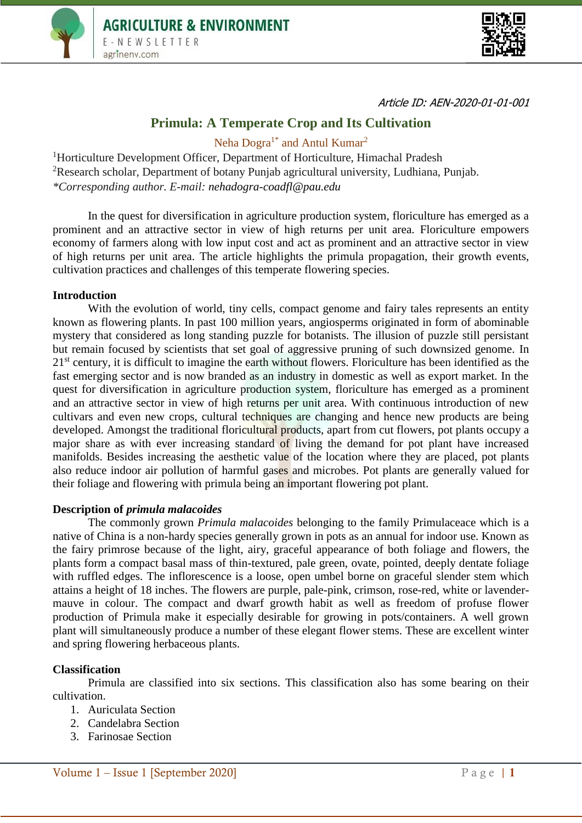



Article ID: AEN-2020-01-01-001

# **Primula: A Temperate Crop and Its Cultivation**

Neha Dogra<sup>1\*</sup> and Antul Kumar<sup>2</sup>

<sup>1</sup>Horticulture Development Officer, Department of Horticulture, Himachal Pradesh <sup>2</sup>Research scholar, Department of botany Punjab agricultural university, Ludhiana, Punjab. *\*Corresponding author. E-mail: [nehadogra-coadfl@pau.edu](mailto:nehadogra-coadfl@pau.edu)*

In the quest for diversification in agriculture production system, floriculture has emerged as a prominent and an attractive sector in view of high returns per unit area. Floriculture empowers economy of farmers along with low input cost and act as prominent and an attractive sector in view of high returns per unit area. The article highlights the primula propagation, their growth events, cultivation practices and challenges of this temperate flowering species.

### **Introduction**

With the evolution of world, tiny cells, compact genome and fairy tales represents an entity known as flowering plants. In past 100 million years, angiosperms originated in form of abominable mystery that considered as long standing puzzle for botanists. The illusion of puzzle still persistant but remain focused by scientists that set goal of aggressive pruning of such downsized genome. In 21<sup>st</sup> century, it is difficult to imagine the earth without flowers. Floriculture has been identified as the fast emerging sector and is now branded as an industry in domestic as well as export market. In the quest for diversification in agriculture production system, floriculture has emerged as a prominent and an attractive sector in view of high returns per unit area. With continuous introduction of new cultivars and even new crops, cultural techniques are changing and hence new products are being developed. Amongst the traditional floricultural products, apart from cut flowers, pot plants occupy a major share as with ever increasing standard of living the demand for pot plant have increased manifolds. Besides increasing the aesthetic value of the location where they are placed, pot plants also reduce indoor air pollution of harmful gases and microbes. Pot plants are generally valued for their foliage and flowering with primula being an important flowering pot plant.

## **Description of** *primula malacoides*

The commonly grown *Primula malacoides* belonging to the family Primulaceace which is a native of China is a non-hardy species generally grown in pots as an annual for indoor use. Known as the fairy primrose because of the light, airy, graceful appearance of both foliage and flowers, the plants form a compact basal mass of thin-textured, pale green, ovate, pointed, deeply dentate foliage with ruffled edges. The inflorescence is a loose, open umbel borne on graceful slender stem which attains a height of 18 inches. The flowers are purple, pale-pink, crimson, rose-red, white or lavendermauve in colour. The compact and dwarf growth habit as well as freedom of profuse flower production of Primula make it especially desirable for growing in pots/containers. A well grown plant will simultaneously produce a number of these elegant flower stems. These are excellent winter and spring flowering herbaceous plants.

## **Classification**

Primula are classified into six sections. This classification also has some bearing on their cultivation.

- 1. Auriculata Section
- 2. Candelabra Section
- 3. Farinosae Section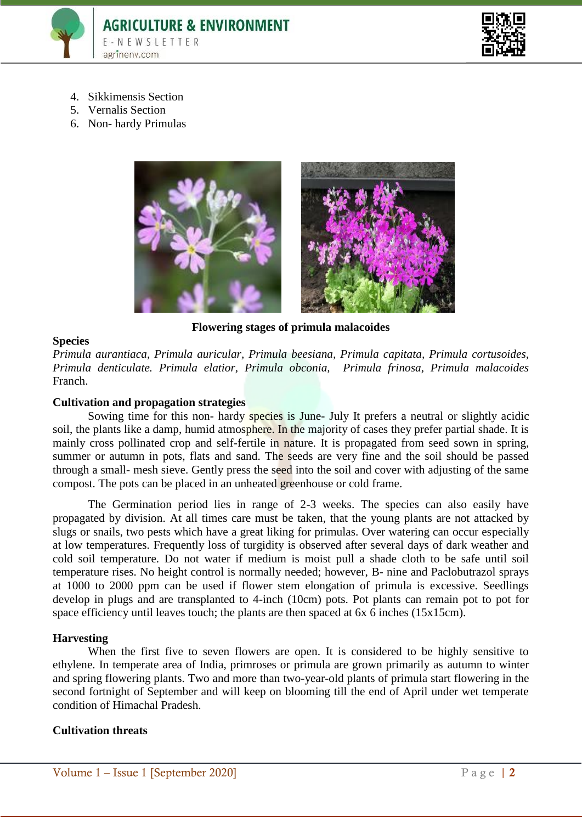



- 4. Sikkimensis Section
- 5. Vernalis Section
- 6. Non- hardy Primulas



**Flowering stages of primula malacoides**

### **Species**

*Primula aurantiaca, Primula auricular, Primula beesiana, Primula capitata, Primula cortusoides, Primula denticulate. Primula elatior, Primula obconia, Primula frinosa, Primula malacoides*  Franch.

#### **Cultivation and propagation strategies**

Sowing time for this non- hardy species is June- July It prefers a neutral or slightly acidic soil, the plants like a damp, humid atmosphere. In the majority of cases they prefer partial shade. It is mainly cross pollinated crop and self-fertile in nature. It is propagated from seed sown in spring, summer or autumn in pots, flats and sand. The seeds are very fine and the soil should be passed through a small- mesh sieve. Gently press the seed into the soil and cover with adjusting of the same compost. The pots can be placed in an unheated greenhouse or cold frame.

The Germination period lies in range of 2-3 weeks. The species can also easily have propagated by division. At all times care must be taken, that the young plants are not attacked by slugs or snails, two pests which have a great liking for primulas. Over watering can occur especially at low temperatures. Frequently loss of turgidity is observed after several days of dark weather and cold soil temperature. Do not water if medium is moist pull a shade cloth to be safe until soil temperature rises. No height control is normally needed; however, B- nine and Paclobutrazol sprays at 1000 to 2000 ppm can be used if flower stem elongation of primula is excessive. Seedlings develop in plugs and are transplanted to 4-inch (10cm) pots. Pot plants can remain pot to pot for space efficiency until leaves touch; the plants are then spaced at 6x 6 inches (15x15cm).

#### **Harvesting**

When the first five to seven flowers are open. It is considered to be highly sensitive to ethylene. In temperate area of India, primroses or primula are grown primarily as autumn to winter and spring flowering plants. Two and more than two-year-old plants of primula start flowering in the second fortnight of September and will keep on blooming till the end of April under wet temperate condition of Himachal Pradesh.

#### **Cultivation threats**